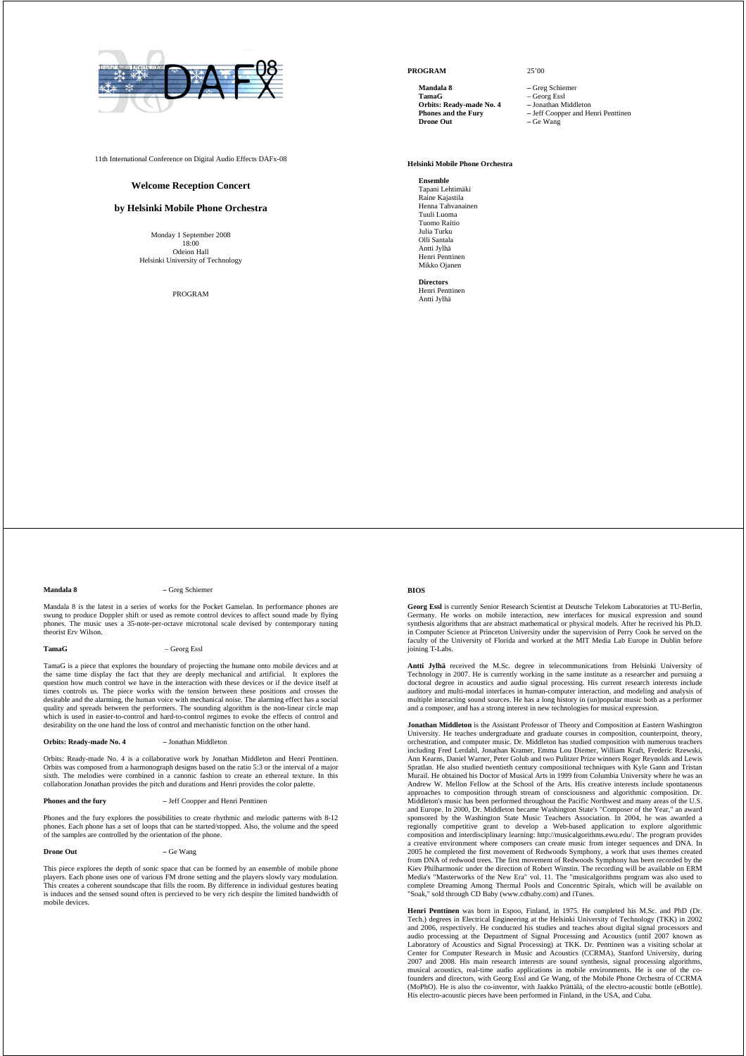

11th International Conference on Digital Audio Effects DAFx-08

## **Welcome Reception Concert**

# **by Helsinki Mobile Phone Orchestra**

Monday 1 September 2008 18:00 Odeion Hall Helsinki University of Technology

PROGRAM

**PROGRAM** 25'00

**Mandala 8 –** Greg Schiemer **TamaG** – Georg Essl<br>**Orbits: Ready-made No. 4** – Jonathan Middleton **Orbits: Ready-made No. 4**<br>**Phones and the Furv** 

**Phones and the Fury** – Jeff Coopper and Henri Penttinen<br> **Phone Out** – Ge Wang **Drone Out –** Ge Wang

**Helsinki Mobile Phone Orchestra** 

**Ensemble**  Tapani Lehtimäki Raine Kajastila Henna Tahvanainen Tuuli Luoma Tuomo Raitio Julia Turku Olli Santala Antti Jylhä Henri Penttin Mikko Ojanen

**Directors**  Henri Penttinen Antti Jylhä

## **Mandala 8 –** Greg Schiemer

Mandala 8 is the latest in a series of works for the Pocket Gamelan. In performance phones are swung to produce Doppler shift or used as remote control devices to affect sound made by flying phones. The music uses a 35-note-per-octave microtonal scale devised by contemporary tuning theorist Erv Wilson.

**TamaG** – Georg Essl

TamaG is a piece that explores the boundary of projecting the humane onto mobile devices and at the same time display the fact that they are deeply mechanical and artificial. It explores the question how much control we have in the interaction with these devices or if the device itself at times controls us. The piece works with the tension between these positions and crosses the desirable and the alarming, the human voice with mechanical noise. The alarming effect has a social quality and spreads between th which is used in easier-to-control and hard-to-control regimes to evoke the effects of control and desirability on the one hand the loss of control and mechanistic function on the other hand.

**Orbits: Ready-made No. 4 –** Jonathan Middleton

Orbits: Ready-made No. 4 is a collaborative work by Jonathan Middleton and Henri Penttinen. Orbits was composed from a harmonograph designs based on the ratio 5:3 or the interval of a major sixth. The melodies were combined in a canonic fashion to create an ethereal texture. In this collaboration Jonathan provides the pitch and durations and Henri provides the color palette.

## **Phones and the fury – Jeff Coopper and Henri Penttinen**

Phones and the fury explores the possibilities to create rhythmic and melodic patterns with 8-12<br>phones. Each phone has a set of loops that can be started/stopped. Also, the volume and the speed<br>of the samples are controll

**Drone Out** – Ge Wang

This piece explores the depth of sonic space that can be formed by an ensemble of mobile phone<br>players. Each phone uses one of various FM drone setting and the players slowly vary modulation.<br>This creates a coherent sounds is induces and the sensed sound often is percieved to be very rich despite the limited bandwidth of mobile devices.

### **BIOS**

**Georg Essl** is currently Senior Research Scientist at Deutsche Telekom Laboratories at TU-Berlin, Germany. He works on mobile interaction, new interfaces for musical expression and sound synthesis algorithms that are abstract mathematical or physical models. After he received his Ph.D. in Computer Science at Princeton University under the supervision of Perry Cook he served on the faculty of the University of Florida and worked at the MIT Media Lab Europe in Dublin before joining T-Labs.

**Antti Jylhä** received the M.Sc. degree in telecommunications from Helsinki University of Technology in 2007. He is currently working in the same institute as a researcher and pursuing a doctoral degree in acoustics and audio signal processing. His current research interests include auditory and multi-modal interfaces in human-computer interaction, and modeling and analysis of multiple interacting sound sources. He has a long history in (un)popular music both as a performer and a composer, and has a strong interest in new technologies for musical expression.

**Jonathan Middleton** is the Assistant Professor of Theory and Composition at Eastern Washington University. He teaches undergraduate and graduate courses in composition, counterpoint, theory,<br>orchestration, and computer music. Dr. Middleton has studied composition with numerous teachers<br>including Fred Lerdahl, Jonath Ann Kearns, Daniel Warner, Peter Golub and two Pulitzer Prize winners Roger Reynolds and Lewis Spratlan. He also studied twentieth century compositional techniques with Kyle Gann and Tristan Murail. He obtained his Doctor of Musical Arts in 1999 from Columbia University where he was an Andrew W. Mellon Fellow at the School of the Arts. His creative interests include spontaneous approaches to composition through stream of consciousness and algorithmic composition. Dr. Middleton's music has been performed throughout the Pacific Northwest and many areas of the U.S. and Europe. In 2000, Dr. Middleton became Washington State's "Composer of the Year," an award sponsored by the Washington State Music Teachers Association. In 2004, he was awarded a<br>regionally competitive grant to develop a Web-based application to explore algorithmic<br>composition and interdisciplinary learning: htt a creative environment where composers can create music from integer sequences and DNA. In<br>2005 he completed the first movement of Redwoods Symphony, a work that uses themes created<br>from DNA of redwood trees. The first mov Kiev Philharmonic under the direction of Robert Winstin. The recording will be available on ERM Media's "Masterworks of the New Era" vol. 11. The "musicalgorithms program was also used to complete Dreaming Among Thermal Pools and Concentric Spirals, which will be available on "Soak," sold through CD Baby (www.cdbaby.com) and iTunes.

**Henri Penttinen** was born in Espoo, Finland, in 1975. He completed his M.Sc. and PhD (Dr. Tech.) degrees in Electrical Engineering at the Helsinki University of Technology (TKK) in 2002 and 2006, respectively. He conducted his studies and teaches about digital signal processors and audio processing at the Department of Signal Processing and Acoustics (until 2007 known as Laboratory of Acoustics and Signal Processing) at TKK. Dr. Penttinen was a visiting scholar at Center for Computer Research in Music and Acoustics (CCRMA), Stanford University, during 2007 and 2008. His main research interests are sound synthesis, signal processing algorithms, musical acoustics, real-time audio appl (MoPhO). He is also the co-inventor, with Jaakko Prättälä, of the electro-acoustic bottle (eBottle). His electro-acoustic pieces have been performed in Finland, in the USA, and Cuba.